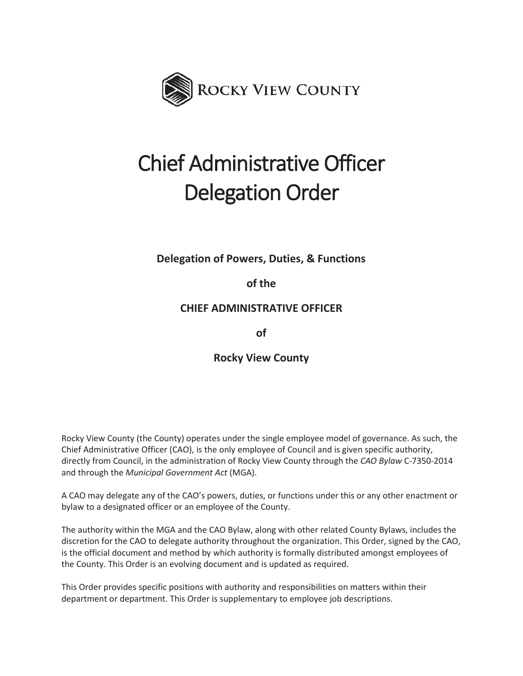

# Chief Administrative Officer Delegation Order

**Delegation of Powers, Duties, & Functions** 

**of the** 

**CHIEF ADMINISTRATIVE OFFICER** 

**of** 

**Rocky View County** 

Rocky View County (the County) operates under the single employee model of governance. As such, the Chief Administrative Officer (CAO), is the only employee of Council and is given specific authority, directly from Council, in the administration of Rocky View County through the *CAO Bylaw* C-7350-2014 and through the *Municipal Government Act* (MGA).

A CAO may delegate any of the CAO's powers, duties, or functions under this or any other enactment or bylaw to a designated officer or an employee of the County.

The authority within the MGA and the CAO Bylaw, along with other related County Bylaws, includes the discretion for the CAO to delegate authority throughout the organization. This Order, signed by the CAO, is the official document and method by which authority is formally distributed amongst employees of the County. This Order is an evolving document and is updated as required.

This Order provides specific positions with authority and responsibilities on matters within their department or department. This Order is supplementary to employee job descriptions.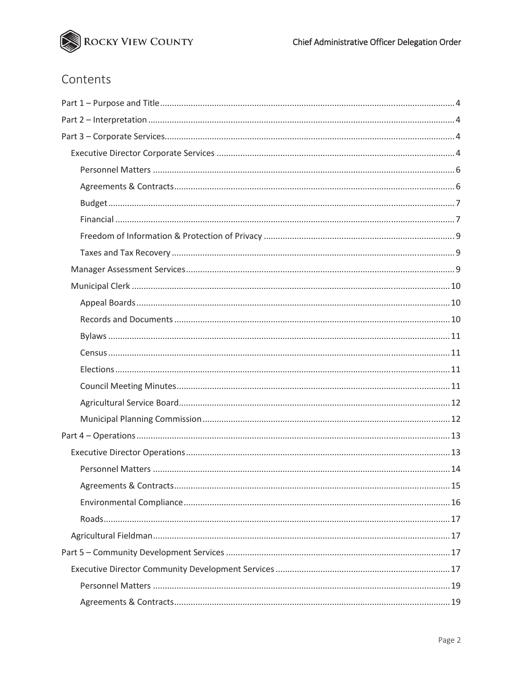

# Contents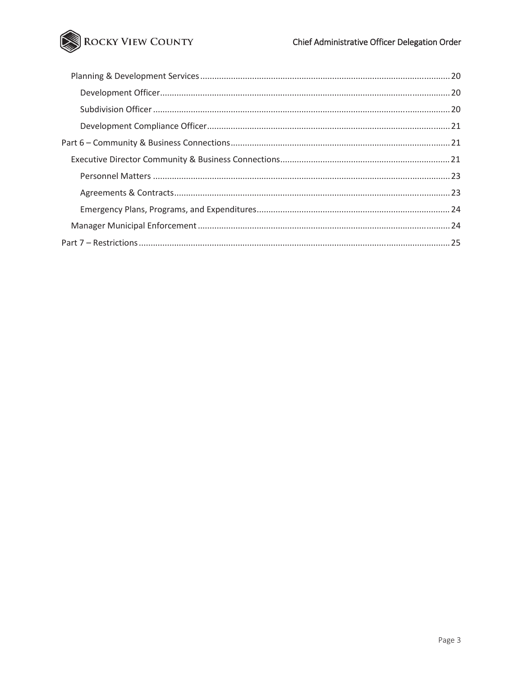# ROCKY VIEW COUNTY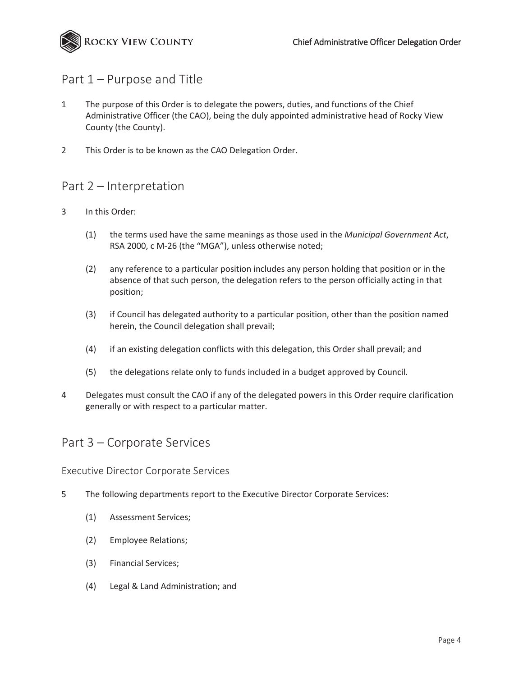

# Part 1 – Purpose and Title

- 1 The purpose of this Order is to delegate the powers, duties, and functions of the Chief Administrative Officer (the CAO), being the duly appointed administrative head of Rocky View County (the County).
- 2 This Order is to be known as the CAO Delegation Order.

# Part 2 – Interpretation

- 3 In this Order:
	- (1) the terms used have the same meanings as those used in the *Municipal Government Act*, RSA 2000, c M-26 (the "MGA"), unless otherwise noted;
	- (2) any reference to a particular position includes any person holding that position or in the absence of that such person, the delegation refers to the person officially acting in that position;
	- (3) if Council has delegated authority to a particular position, other than the position named herein, the Council delegation shall prevail;
	- (4) if an existing delegation conflicts with this delegation, this Order shall prevail; and
	- (5) the delegations relate only to funds included in a budget approved by Council.
- 4 Delegates must consult the CAO if any of the delegated powers in this Order require clarification generally or with respect to a particular matter.

# Part 3 – Corporate Services

Executive Director Corporate Services

- 5 The following departments report to the Executive Director Corporate Services:
	- (1) Assessment Services;
	- (2) Employee Relations;
	- (3) Financial Services;
	- (4) Legal & Land Administration; and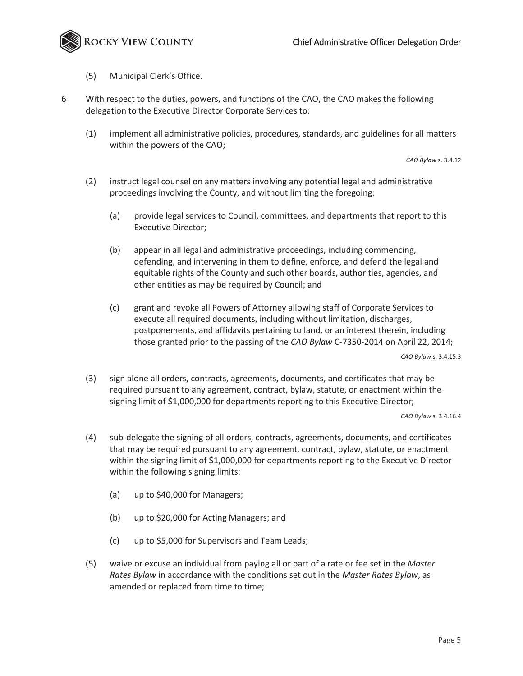

- (5) Municipal Clerk's Office.
- 6 With respect to the duties, powers, and functions of the CAO, the CAO makes the following delegation to the Executive Director Corporate Services to:
	- (1) implement all administrative policies, procedures, standards, and guidelines for all matters within the powers of the CAO;

*CAO Bylaw* s. 3.4.12

- (2) instruct legal counsel on any matters involving any potential legal and administrative proceedings involving the County, and without limiting the foregoing:
	- (a) provide legal services to Council, committees, and departments that report to this Executive Director;
	- (b) appear in all legal and administrative proceedings, including commencing, defending, and intervening in them to define, enforce, and defend the legal and equitable rights of the County and such other boards, authorities, agencies, and other entities as may be required by Council; and
	- (c) grant and revoke all Powers of Attorney allowing staff of Corporate Services to execute all required documents, including without limitation, discharges, postponements, and affidavits pertaining to land, or an interest therein, including those granted prior to the passing of the *CAO Bylaw* C-7350-2014 on April 22, 2014;

*CAO Bylaw* s. 3.4.15.3

(3) sign alone all orders, contracts, agreements, documents, and certificates that may be required pursuant to any agreement, contract, bylaw, statute, or enactment within the signing limit of \$1,000,000 for departments reporting to this Executive Director;

- (4) sub-delegate the signing of all orders, contracts, agreements, documents, and certificates that may be required pursuant to any agreement, contract, bylaw, statute, or enactment within the signing limit of \$1,000,000 for departments reporting to the Executive Director within the following signing limits:
	- (a) up to \$40,000 for Managers;
	- (b) up to \$20,000 for Acting Managers; and
	- (c) up to \$5,000 for Supervisors and Team Leads;
- (5) waive or excuse an individual from paying all or part of a rate or fee set in the *Master Rates Bylaw* in accordance with the conditions set out in the *Master Rates Bylaw*, as amended or replaced from time to time;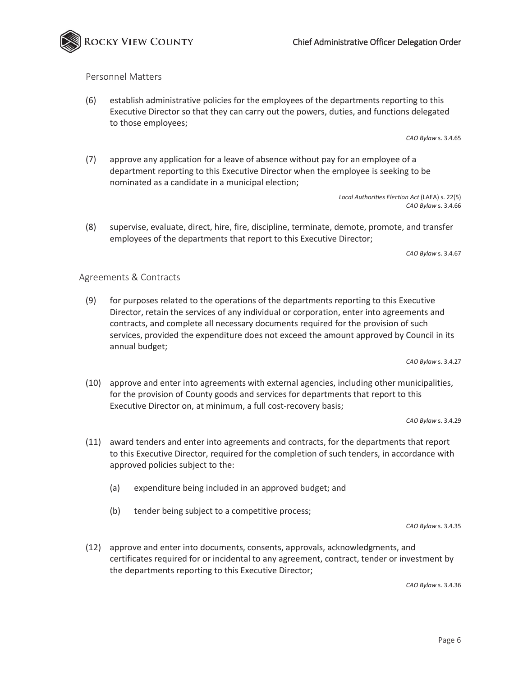

#### Personnel Matters

(6) establish administrative policies for the employees of the departments reporting to this Executive Director so that they can carry out the powers, duties, and functions delegated to those employees;

*CAO Bylaw* s. 3.4.65

(7) approve any application for a leave of absence without pay for an employee of a department reporting to this Executive Director when the employee is seeking to be nominated as a candidate in a municipal election;

> *Local Authorities Election Act* (LAEA) s. 22(5) *CAO Bylaw* s. 3.4.66

(8) supervise, evaluate, direct, hire, fire, discipline, terminate, demote, promote, and transfer employees of the departments that report to this Executive Director;

*CAO Bylaw* s. 3.4.67

#### Agreements & Contracts

(9) for purposes related to the operations of the departments reporting to this Executive Director, retain the services of any individual or corporation, enter into agreements and contracts, and complete all necessary documents required for the provision of such services, provided the expenditure does not exceed the amount approved by Council in its annual budget;

*CAO Bylaw* s. 3.4.27

(10) approve and enter into agreements with external agencies, including other municipalities, for the provision of County goods and services for departments that report to this Executive Director on, at minimum, a full cost-recovery basis;

*CAO Bylaw* s. 3.4.29

- (11) award tenders and enter into agreements and contracts, for the departments that report to this Executive Director, required for the completion of such tenders, in accordance with approved policies subject to the:
	- (a) expenditure being included in an approved budget; and
	- (b) tender being subject to a competitive process;

*CAO Bylaw* s. 3.4.35

(12) approve and enter into documents, consents, approvals, acknowledgments, and certificates required for or incidental to any agreement, contract, tender or investment by the departments reporting to this Executive Director;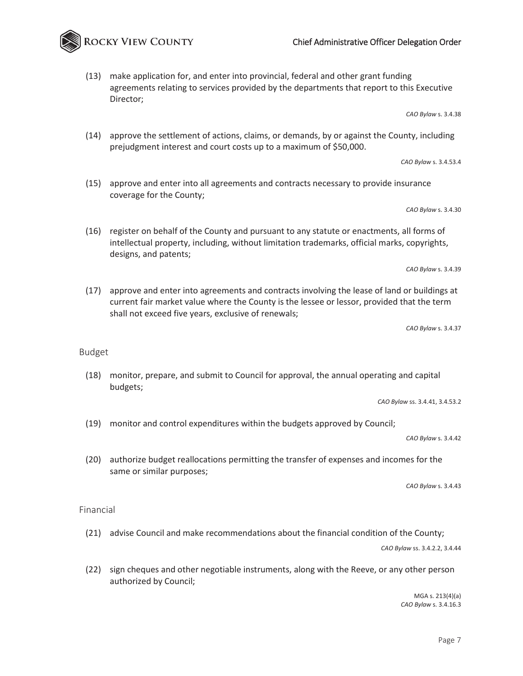(13) make application for, and enter into provincial, federal and other grant funding agreements relating to services provided by the departments that report to this Executive Director;

*CAO Bylaw* s. 3.4.38

(14) approve the settlement of actions, claims, or demands, by or against the County, including prejudgment interest and court costs up to a maximum of \$50,000.

*CAO Bylaw* s. 3.4.53.4

(15) approve and enter into all agreements and contracts necessary to provide insurance coverage for the County;

*CAO Bylaw* s. 3.4.30

(16) register on behalf of the County and pursuant to any statute or enactments, all forms of intellectual property, including, without limitation trademarks, official marks, copyrights, designs, and patents;

*CAO Bylaw* s. 3.4.39

(17) approve and enter into agreements and contracts involving the lease of land or buildings at current fair market value where the County is the lessee or lessor, provided that the term shall not exceed five years, exclusive of renewals;

*CAO Bylaw* s. 3.4.37

Budget

(18) monitor, prepare, and submit to Council for approval, the annual operating and capital budgets;

*CAO Bylaw* ss. 3.4.41, 3.4.53.2

(19) monitor and control expenditures within the budgets approved by Council;

*CAO Bylaw* s. 3.4.42

(20) authorize budget reallocations permitting the transfer of expenses and incomes for the same or similar purposes;

*CAO Bylaw* s. 3.4.43

Financial

(21) advise Council and make recommendations about the financial condition of the County;

*CAO Bylaw* ss. 3.4.2.2, 3.4.44

(22) sign cheques and other negotiable instruments, along with the Reeve, or any other person authorized by Council;

> MGA s. 213(4)(a) *CAO Bylaw* s. 3.4.16.3

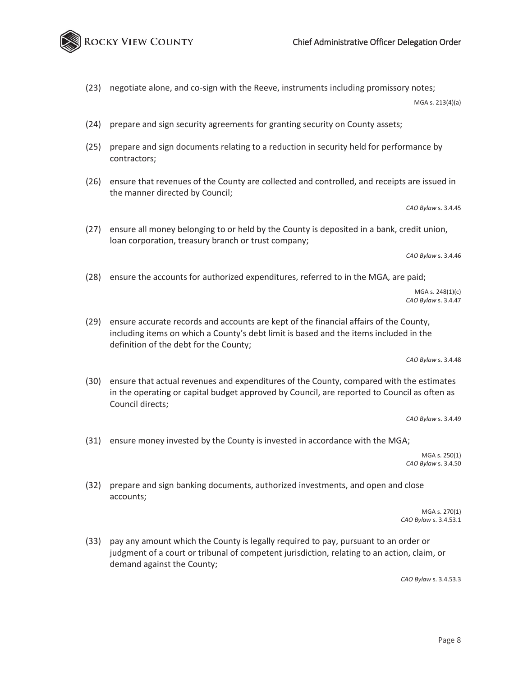(23) negotiate alone, and co-sign with the Reeve, instruments including promissory notes;

MGA s. 213(4)(a)

Chief Administrative Officer Delegation Order

- (24) prepare and sign security agreements for granting security on County assets;
- (25) prepare and sign documents relating to a reduction in security held for performance by contractors;
- (26) ensure that revenues of the County are collected and controlled, and receipts are issued in the manner directed by Council;

*CAO Bylaw* s. 3.4.45

(27) ensure all money belonging to or held by the County is deposited in a bank, credit union, loan corporation, treasury branch or trust company;

*CAO Bylaw* s. 3.4.46

(28) ensure the accounts for authorized expenditures, referred to in the MGA, are paid;

 MGA s. 248(1)(c) *CAO Bylaw* s. 3.4.47

(29) ensure accurate records and accounts are kept of the financial affairs of the County, including items on which a County's debt limit is based and the items included in the definition of the debt for the County;

*CAO Bylaw* s. 3.4.48

(30) ensure that actual revenues and expenditures of the County, compared with the estimates in the operating or capital budget approved by Council, are reported to Council as often as Council directs;

*CAO Bylaw* s. 3.4.49

(31) ensure money invested by the County is invested in accordance with the MGA;

MGA s. 250(1) *CAO Bylaw* s. 3.4.50

(32) prepare and sign banking documents, authorized investments, and open and close accounts;

> MGA s. 270(1) *CAO Bylaw* s. 3.4.53.1

(33) pay any amount which the County is legally required to pay, pursuant to an order or judgment of a court or tribunal of competent jurisdiction, relating to an action, claim, or demand against the County;

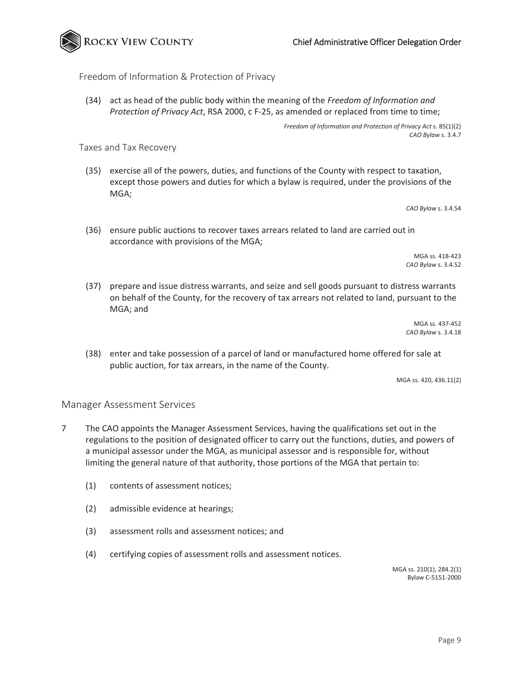



#### Freedom of Information & Protection of Privacy

(34) act as head of the public body within the meaning of the *Freedom of Information and Protection of Privacy Act*, RSA 2000, c F-25, as amended or replaced from time to time;

> *Freedom of Information and Protection of Privacy Act* s. 85(1)(2) *CAO Bylaw* s. 3.4.7

Taxes and Tax Recovery

(35) exercise all of the powers, duties, and functions of the County with respect to taxation, except those powers and duties for which a bylaw is required, under the provisions of the MGA;

*CAO Bylaw* s. 3.4.54

(36) ensure public auctions to recover taxes arrears related to land are carried out in accordance with provisions of the MGA;

> MGA ss. 418-423 *CAO Bylaw* s. 3.4.52

(37) prepare and issue distress warrants, and seize and sell goods pursuant to distress warrants on behalf of the County, for the recovery of tax arrears not related to land, pursuant to the MGA; and

> MGA ss. 437-452 *CAO Bylaw* s. 3.4.18

(38) enter and take possession of a parcel of land or manufactured home offered for sale at public auction, for tax arrears, in the name of the County.

MGA ss. 420, 436.11(2)

#### Manager Assessment Services

- 7 The CAO appoints the Manager Assessment Services, having the qualifications set out in the regulations to the position of designated officer to carry out the functions, duties, and powers of a municipal assessor under the MGA, as municipal assessor and is responsible for, without limiting the general nature of that authority, those portions of the MGA that pertain to:
	- (1) contents of assessment notices;
	- (2) admissible evidence at hearings;
	- (3) assessment rolls and assessment notices; and
	- (4) certifying copies of assessment rolls and assessment notices.

MGA ss. 210(1), 284.2(1) Bylaw C-5151-2000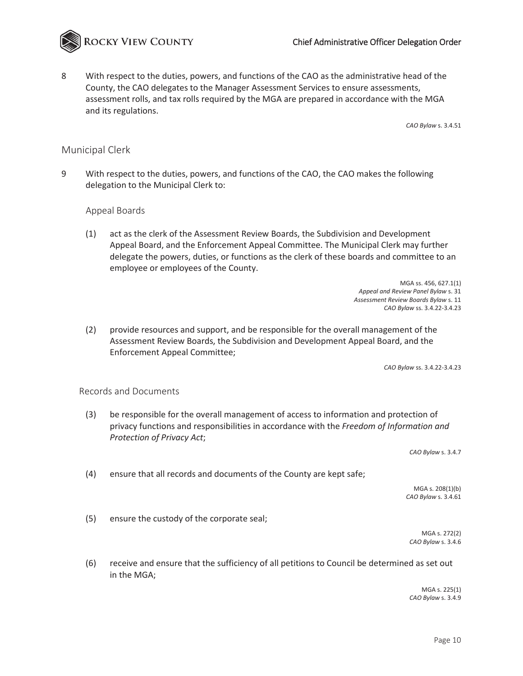

8 With respect to the duties, powers, and functions of the CAO as the administrative head of the County, the CAO delegates to the Manager Assessment Services to ensure assessments, assessment rolls, and tax rolls required by the MGA are prepared in accordance with the MGA and its regulations.

*CAO Bylaw* s. 3.4.51

#### Municipal Clerk

9 With respect to the duties, powers, and functions of the CAO, the CAO makes the following delegation to the Municipal Clerk to:

#### Appeal Boards

(1) act as the clerk of the Assessment Review Boards, the Subdivision and Development Appeal Board, and the Enforcement Appeal Committee. The Municipal Clerk may further delegate the powers, duties, or functions as the clerk of these boards and committee to an employee or employees of the County.

> MGA ss. 456, 627.1(1) *Appeal and Review Panel Bylaw* s. 31 *Assessment Review Boards Bylaw* s. 11 *CAO Bylaw* ss. 3.4.22-3.4.23

(2) provide resources and support, and be responsible for the overall management of the Assessment Review Boards, the Subdivision and Development Appeal Board, and the Enforcement Appeal Committee;

*CAO Bylaw* ss. 3.4.22-3.4.23

#### Records and Documents

(3) be responsible for the overall management of access to information and protection of privacy functions and responsibilities in accordance with the *Freedom of Information and Protection of Privacy Act*;

*CAO Bylaw* s. 3.4.7

(4) ensure that all records and documents of the County are kept safe;

MGA s. 208(1)(b) *CAO Bylaw* s. 3.4.61

(5) ensure the custody of the corporate seal;

MGA s. 272(2) *CAO Bylaw* s. 3.4.6

(6) receive and ensure that the sufficiency of all petitions to Council be determined as set out in the MGA;

> MGA s. 225(1) *CAO Bylaw* s. 3.4.9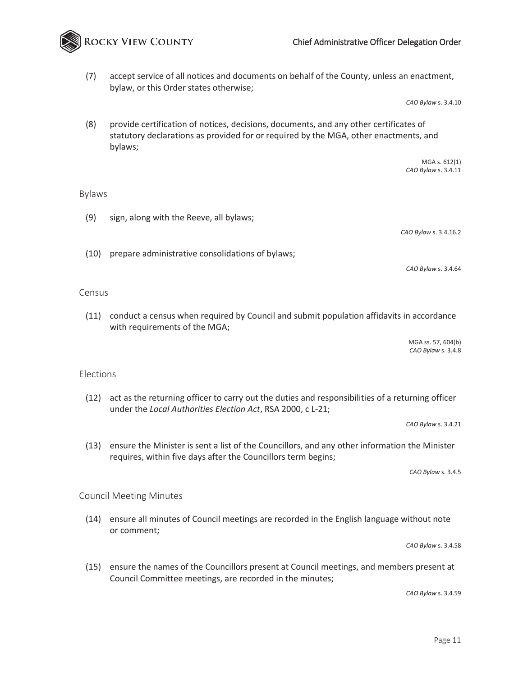(7) accept service of all notices and documents on behalf of the County, unless an enactment, bylaw, or this Order states otherwise;

*CAO Bylaw* s. 3.4.10

(8) provide certification of notices, decisions, documents, and any other certificates of statutory declarations as provided for or required by the MGA, other enactments, and bylaws;

> MGA s. 612(1) *CAO Bylaw* s. 3.4.11

#### Bylaws

(9) sign, along with the Reeve, all bylaws;

ROCKY VIEW COUNTY

*CAO Bylaw* s. 3.4.16.2

(10) prepare administrative consolidations of bylaws;

*CAO Bylaw* s. 3.4.64

#### Census

(11) conduct a census when required by Council and submit population affidavits in accordance with requirements of the MGA;

> MGA ss. 57, 604(b) *CAO Bylaw* s. 3.4.8

#### Elections

(12) act as the returning officer to carry out the duties and responsibilities of a returning officer under the *Local Authorities Election Act*, RSA 2000, c L-21;

*CAO Bylaw* s. 3.4.21

(13) ensure the Minister is sent a list of the Councillors, and any other information the Minister requires, within five days after the Councillors term begins;

*CAO Bylaw* s. 3.4.5

#### Council Meeting Minutes

(14) ensure all minutes of Council meetings are recorded in the English language without note or comment;

*CAO Bylaw* s. 3.4.58

(15) ensure the names of the Councillors present at Council meetings, and members present at Council Committee meetings, are recorded in the minutes;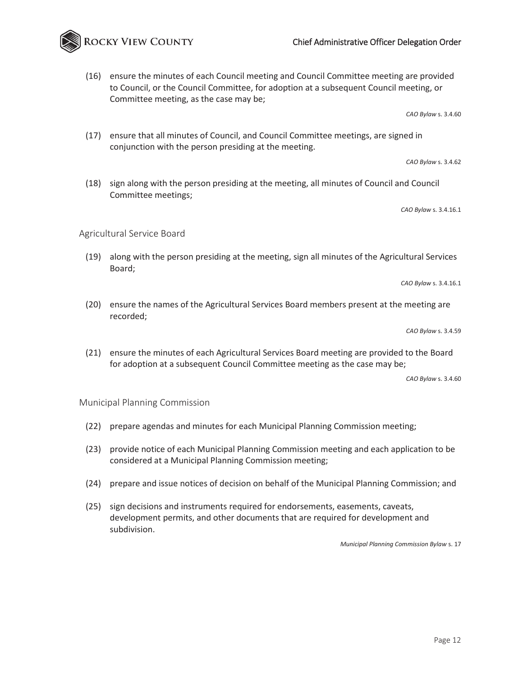### Chief Administrative Officer Delegation Order

(16) ensure the minutes of each Council meeting and Council Committee meeting are provided to Council, or the Council Committee, for adoption at a subsequent Council meeting, or Committee meeting, as the case may be;

*CAO Bylaw* s. 3.4.60

(17) ensure that all minutes of Council, and Council Committee meetings, are signed in conjunction with the person presiding at the meeting.

*CAO Bylaw* s. 3.4.62

(18) sign along with the person presiding at the meeting, all minutes of Council and Council Committee meetings;

*CAO Bylaw* s. 3.4.16.1

Agricultural Service Board

(19) along with the person presiding at the meeting, sign all minutes of the Agricultural Services Board;

*CAO Bylaw* s. 3.4.16.1

(20) ensure the names of the Agricultural Services Board members present at the meeting are recorded;

*CAO Bylaw* s. 3.4.59

(21) ensure the minutes of each Agricultural Services Board meeting are provided to the Board for adoption at a subsequent Council Committee meeting as the case may be;

*CAO Bylaw* s. 3.4.60

Municipal Planning Commission

- (22) prepare agendas and minutes for each Municipal Planning Commission meeting;
- (23) provide notice of each Municipal Planning Commission meeting and each application to be considered at a Municipal Planning Commission meeting;
- (24) prepare and issue notices of decision on behalf of the Municipal Planning Commission; and
- (25) sign decisions and instruments required for endorsements, easements, caveats, development permits, and other documents that are required for development and subdivision.

*Municipal Planning Commission Bylaw* s. 17

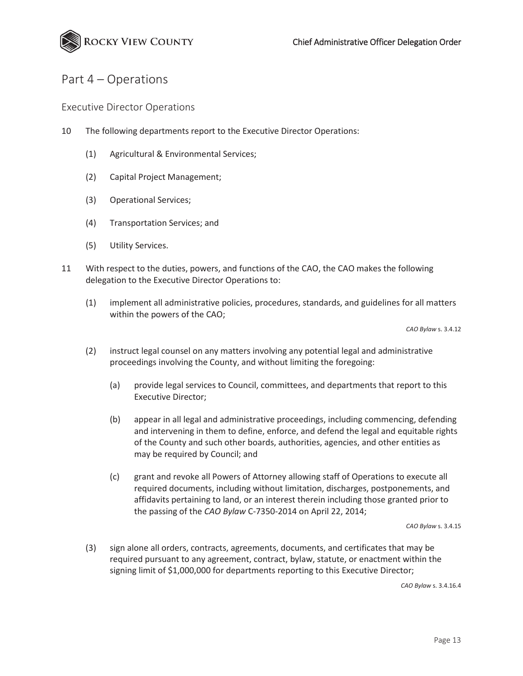

# Part 4 – Operations

Executive Director Operations

- 10 The following departments report to the Executive Director Operations:
	- (1) Agricultural & Environmental Services;
	- (2) Capital Project Management;
	- (3) Operational Services;
	- (4) Transportation Services; and
	- (5) Utility Services.
- 11 With respect to the duties, powers, and functions of the CAO, the CAO makes the following delegation to the Executive Director Operations to:
	- (1) implement all administrative policies, procedures, standards, and guidelines for all matters within the powers of the CAO;

*CAO Bylaw* s. 3.4.12

- (2) instruct legal counsel on any matters involving any potential legal and administrative proceedings involving the County, and without limiting the foregoing:
	- (a) provide legal services to Council, committees, and departments that report to this Executive Director;
	- (b) appear in all legal and administrative proceedings, including commencing, defending and intervening in them to define, enforce, and defend the legal and equitable rights of the County and such other boards, authorities, agencies, and other entities as may be required by Council; and
	- (c) grant and revoke all Powers of Attorney allowing staff of Operations to execute all required documents, including without limitation, discharges, postponements, and affidavits pertaining to land, or an interest therein including those granted prior to the passing of the *CAO Bylaw* C-7350-2014 on April 22, 2014;

*CAO Bylaw* s. 3.4.15

(3) sign alone all orders, contracts, agreements, documents, and certificates that may be required pursuant to any agreement, contract, bylaw, statute, or enactment within the signing limit of \$1,000,000 for departments reporting to this Executive Director;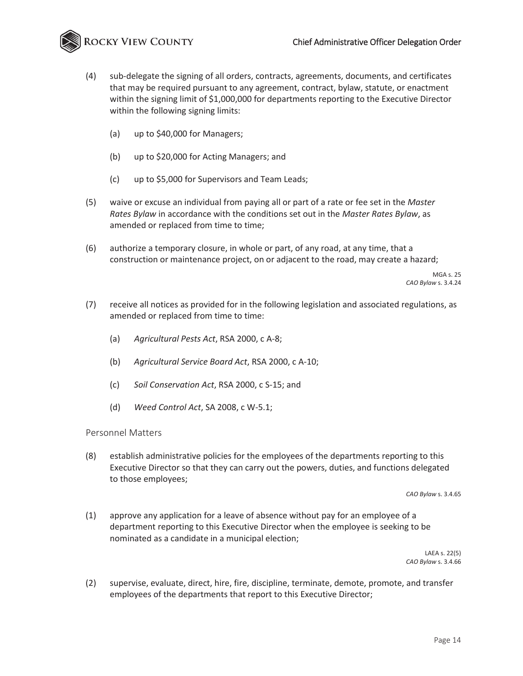

- (4) sub-delegate the signing of all orders, contracts, agreements, documents, and certificates that may be required pursuant to any agreement, contract, bylaw, statute, or enactment within the signing limit of \$1,000,000 for departments reporting to the Executive Director within the following signing limits:
	- (a) up to \$40,000 for Managers;
	- (b) up to \$20,000 for Acting Managers; and
	- (c) up to \$5,000 for Supervisors and Team Leads;
- (5) waive or excuse an individual from paying all or part of a rate or fee set in the *Master Rates Bylaw* in accordance with the conditions set out in the *Master Rates Bylaw*, as amended or replaced from time to time;
- (6) authorize a temporary closure, in whole or part, of any road, at any time, that a construction or maintenance project, on or adjacent to the road, may create a hazard;

MGA s. 25 *CAO Bylaw* s. 3.4.24

- (7) receive all notices as provided for in the following legislation and associated regulations, as amended or replaced from time to time:
	- (a) *Agricultural Pests Act*, RSA 2000, c A-8;
	- (b) *Agricultural Service Board Act*, RSA 2000, c A-10;
	- (c) *Soil Conservation Act*, RSA 2000, c S-15; and
	- (d) *Weed Control Act*, SA 2008, c W-5.1;

#### Personnel Matters

(8) establish administrative policies for the employees of the departments reporting to this Executive Director so that they can carry out the powers, duties, and functions delegated to those employees;

*CAO Bylaw* s. 3.4.65

(1) approve any application for a leave of absence without pay for an employee of a department reporting to this Executive Director when the employee is seeking to be nominated as a candidate in a municipal election;

> LAEA s. 22(5) *CAO Bylaw* s. 3.4.66

(2) supervise, evaluate, direct, hire, fire, discipline, terminate, demote, promote, and transfer employees of the departments that report to this Executive Director;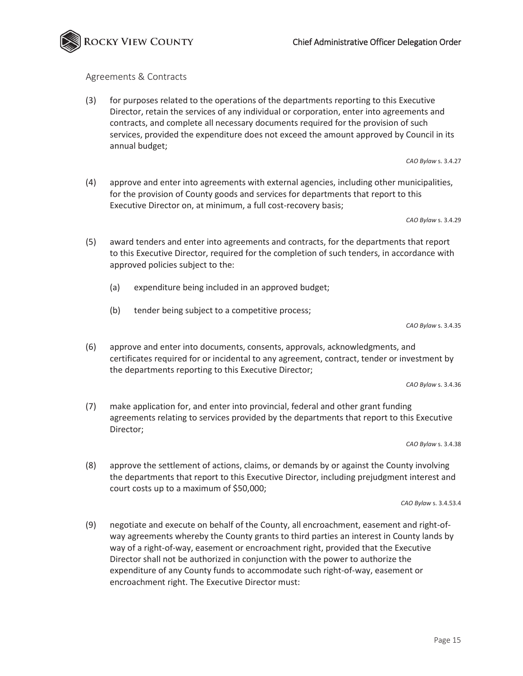

# Agreements & Contracts

(3) for purposes related to the operations of the departments reporting to this Executive Director, retain the services of any individual or corporation, enter into agreements and contracts, and complete all necessary documents required for the provision of such services, provided the expenditure does not exceed the amount approved by Council in its annual budget;

*CAO Bylaw* s. 3.4.27

(4) approve and enter into agreements with external agencies, including other municipalities, for the provision of County goods and services for departments that report to this Executive Director on, at minimum, a full cost-recovery basis;

*CAO Bylaw* s. 3.4.29

- (5) award tenders and enter into agreements and contracts, for the departments that report to this Executive Director, required for the completion of such tenders, in accordance with approved policies subject to the:
	- (a) expenditure being included in an approved budget;
	- (b) tender being subject to a competitive process;

*CAO Bylaw* s. 3.4.35

(6) approve and enter into documents, consents, approvals, acknowledgments, and certificates required for or incidental to any agreement, contract, tender or investment by the departments reporting to this Executive Director;

*CAO Bylaw* s. 3.4.36

(7) make application for, and enter into provincial, federal and other grant funding agreements relating to services provided by the departments that report to this Executive Director;

*CAO Bylaw* s. 3.4.38

(8) approve the settlement of actions, claims, or demands by or against the County involving the departments that report to this Executive Director, including prejudgment interest and court costs up to a maximum of \$50,000;

*CAO Bylaw* s. 3.4.53.4

(9) negotiate and execute on behalf of the County, all encroachment, easement and right-ofway agreements whereby the County grants to third parties an interest in County lands by way of a right-of-way, easement or encroachment right, provided that the Executive Director shall not be authorized in conjunction with the power to authorize the expenditure of any County funds to accommodate such right-of-way, easement or encroachment right. The Executive Director must: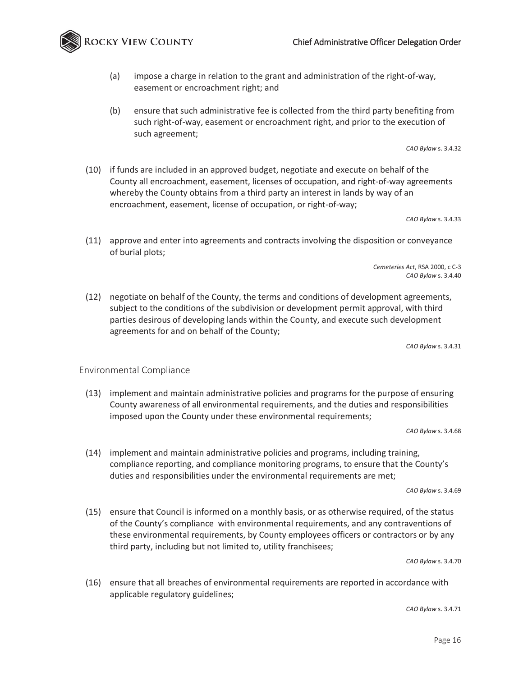**OCKY VIEW COUNTY** 

- (a) impose a charge in relation to the grant and administration of the right-of-way, easement or encroachment right; and
- (b) ensure that such administrative fee is collected from the third party benefiting from such right-of-way, easement or encroachment right, and prior to the execution of such agreement;

*CAO Bylaw* s. 3.4.32

(10) if funds are included in an approved budget, negotiate and execute on behalf of the County all encroachment, easement, licenses of occupation, and right-of-way agreements whereby the County obtains from a third party an interest in lands by way of an encroachment, easement, license of occupation, or right-of-way;

*CAO Bylaw* s. 3.4.33

(11) approve and enter into agreements and contracts involving the disposition or conveyance of burial plots;

> *Cemeteries Act*, RSA 2000, c C-3 *CAO Bylaw* s. 3.4.40

(12) negotiate on behalf of the County, the terms and conditions of development agreements, subject to the conditions of the subdivision or development permit approval, with third parties desirous of developing lands within the County, and execute such development agreements for and on behalf of the County;

*CAO Bylaw* s. 3.4.31

#### Environmental Compliance

(13) implement and maintain administrative policies and programs for the purpose of ensuring County awareness of all environmental requirements, and the duties and responsibilities imposed upon the County under these environmental requirements;

*CAO Bylaw* s. 3.4.68

(14) implement and maintain administrative policies and programs, including training, compliance reporting, and compliance monitoring programs, to ensure that the County's duties and responsibilities under the environmental requirements are met;

*CAO Bylaw* s. 3.4.69

(15) ensure that Council is informed on a monthly basis, or as otherwise required, of the status of the County's compliance with environmental requirements, and any contraventions of these environmental requirements, by County employees officers or contractors or by any third party, including but not limited to, utility franchisees;

*CAO Bylaw* s. 3.4.70

(16) ensure that all breaches of environmental requirements are reported in accordance with applicable regulatory guidelines;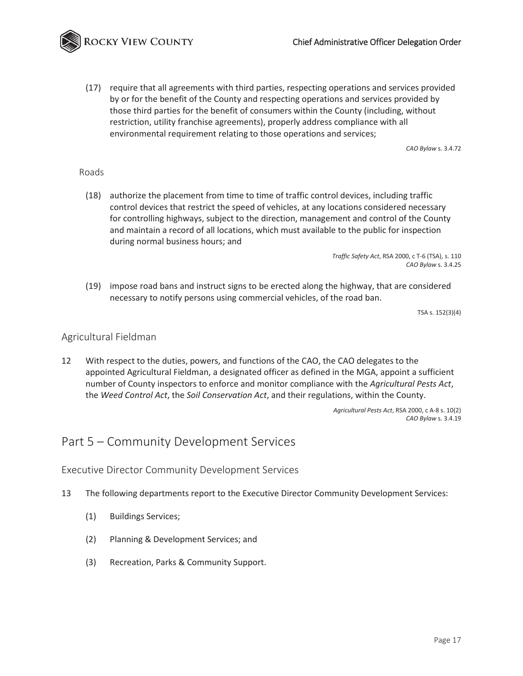ROCKY VIEW COUNTY

(17) require that all agreements with third parties, respecting operations and services provided by or for the benefit of the County and respecting operations and services provided by those third parties for the benefit of consumers within the County (including, without restriction, utility franchise agreements), properly address compliance with all environmental requirement relating to those operations and services;

*CAO Bylaw* s. 3.4.72

#### Roads

(18) authorize the placement from time to time of traffic control devices, including traffic control devices that restrict the speed of vehicles, at any locations considered necessary for controlling highways, subject to the direction, management and control of the County and maintain a record of all locations, which must available to the public for inspection during normal business hours; and

> *Traffic Safety Act*, RSA 2000, c T-6 (TSA), s. 110 *CAO Bylaw* s. 3.4.25

(19) impose road bans and instruct signs to be erected along the highway, that are considered necessary to notify persons using commercial vehicles, of the road ban.

TSA s. 152(3)(4)

#### Agricultural Fieldman

12 With respect to the duties, powers, and functions of the CAO, the CAO delegates to the appointed Agricultural Fieldman, a designated officer as defined in the MGA, appoint a sufficient number of County inspectors to enforce and monitor compliance with the *Agricultural Pests Act*, the *Weed Control Act*, the *Soil Conservation Act*, and their regulations, within the County.

> *Agricultural Pests Act*, RSA 2000, c A-8 s. 10(2) *CAO Bylaw* s. 3.4.19

# Part 5 – Community Development Services

Executive Director Community Development Services

- 13 The following departments report to the Executive Director Community Development Services:
	- (1) Buildings Services;
	- (2) Planning & Development Services; and
	- (3) Recreation, Parks & Community Support.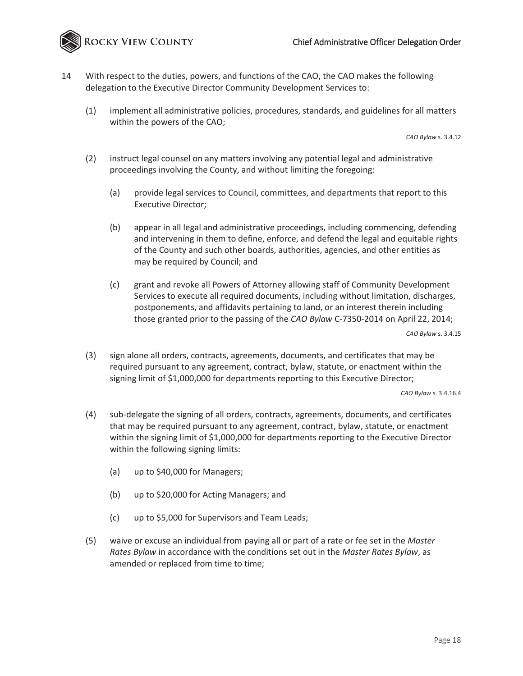ROCKY VIEW COUNTY

- 14 With respect to the duties, powers, and functions of the CAO, the CAO makes the following delegation to the Executive Director Community Development Services to:
	- (1) implement all administrative policies, procedures, standards, and guidelines for all matters within the powers of the CAO;

*CAO Bylaw* s. 3.4.12

- (2) instruct legal counsel on any matters involving any potential legal and administrative proceedings involving the County, and without limiting the foregoing:
	- (a) provide legal services to Council, committees, and departments that report to this Executive Director;
	- (b) appear in all legal and administrative proceedings, including commencing, defending and intervening in them to define, enforce, and defend the legal and equitable rights of the County and such other boards, authorities, agencies, and other entities as may be required by Council; and
	- (c) grant and revoke all Powers of Attorney allowing staff of Community Development Services to execute all required documents, including without limitation, discharges, postponements, and affidavits pertaining to land, or an interest therein including those granted prior to the passing of the *CAO Bylaw* C-7350-2014 on April 22, 2014;

*CAO Bylaw* s. 3.4.15

(3) sign alone all orders, contracts, agreements, documents, and certificates that may be required pursuant to any agreement, contract, bylaw, statute, or enactment within the signing limit of \$1,000,000 for departments reporting to this Executive Director;

- (4) sub-delegate the signing of all orders, contracts, agreements, documents, and certificates that may be required pursuant to any agreement, contract, bylaw, statute, or enactment within the signing limit of \$1,000,000 for departments reporting to the Executive Director within the following signing limits:
	- (a) up to \$40,000 for Managers;
	- (b) up to \$20,000 for Acting Managers; and
	- (c) up to \$5,000 for Supervisors and Team Leads;
- (5) waive or excuse an individual from paying all or part of a rate or fee set in the *Master Rates Bylaw* in accordance with the conditions set out in the *Master Rates Bylaw*, as amended or replaced from time to time;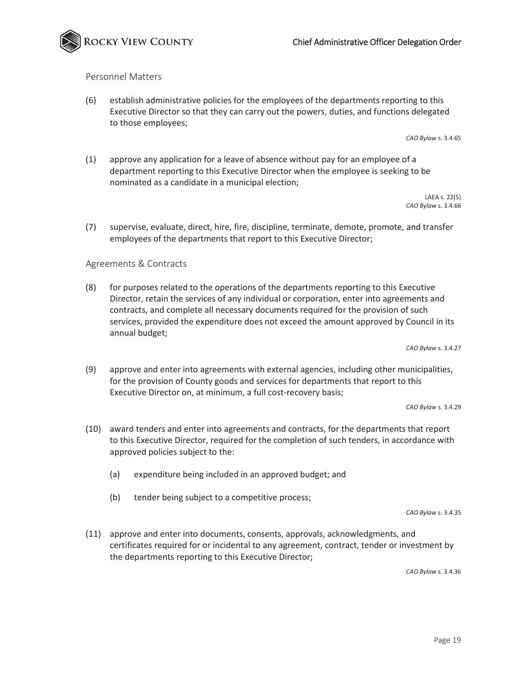

#### Personnel Matters

(6) establish administrative policies for the employees of the departments reporting to this Executive Director so that they can carry out the powers, duties, and functions delegated to those employees;

*CAO Bylaw* s. 3.4.65

(1) approve any application for a leave of absence without pay for an employee of a department reporting to this Executive Director when the employee is seeking to be nominated as a candidate in a municipal election;

> LAEA s. 22(5) *CAO Bylaw* s. 3.4.66

(7) supervise, evaluate, direct, hire, fire, discipline, terminate, demote, promote, and transfer employees of the departments that report to this Executive Director;

#### Agreements & Contracts

(8) for purposes related to the operations of the departments reporting to this Executive Director, retain the services of any individual or corporation, enter into agreements and contracts, and complete all necessary documents required for the provision of such services, provided the expenditure does not exceed the amount approved by Council in its annual budget;

*CAO Bylaw* s. 3.4.27

(9) approve and enter into agreements with external agencies, including other municipalities, for the provision of County goods and services for departments that report to this Executive Director on, at minimum, a full cost-recovery basis;

*CAO Bylaw* s. 3.4.29

- (10) award tenders and enter into agreements and contracts, for the departments that report to this Executive Director, required for the completion of such tenders, in accordance with approved policies subject to the:
	- (a) expenditure being included in an approved budget; and
	- (b) tender being subject to a competitive process;

*CAO Bylaw* s. 3.4.35

(11) approve and enter into documents, consents, approvals, acknowledgments, and certificates required for or incidental to any agreement, contract, tender or investment by the departments reporting to this Executive Director;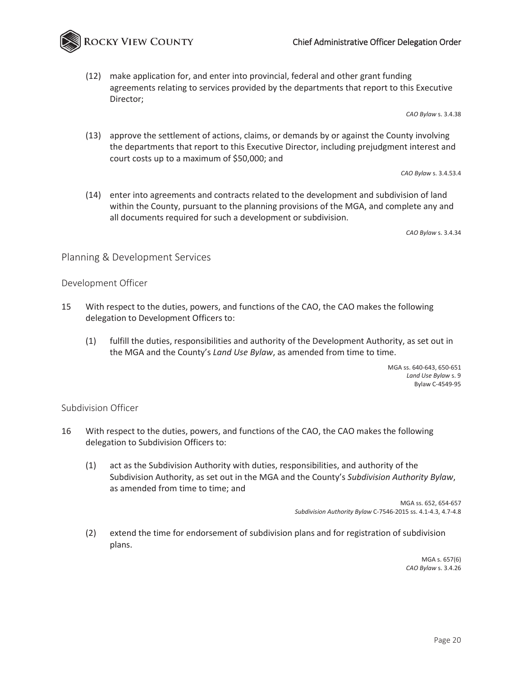

(12) make application for, and enter into provincial, federal and other grant funding agreements relating to services provided by the departments that report to this Executive Director;

*CAO Bylaw* s. 3.4.38

(13) approve the settlement of actions, claims, or demands by or against the County involving the departments that report to this Executive Director, including prejudgment interest and court costs up to a maximum of \$50,000; and

*CAO Bylaw* s. 3.4.53.4

(14) enter into agreements and contracts related to the development and subdivision of land within the County, pursuant to the planning provisions of the MGA, and complete any and all documents required for such a development or subdivision.

*CAO Bylaw* s. 3.4.34

#### Planning & Development Services

#### Development Officer

- 15 With respect to the duties, powers, and functions of the CAO, the CAO makes the following delegation to Development Officers to:
	- (1) fulfill the duties, responsibilities and authority of the Development Authority, as set out in the MGA and the County's *Land Use Bylaw*, as amended from time to time.

MGA ss. 640-643, 650-651 *Land Use Bylaw* s. 9 Bylaw C-4549-95

#### Subdivision Officer

- 16 With respect to the duties, powers, and functions of the CAO, the CAO makes the following delegation to Subdivision Officers to:
	- (1) act as the Subdivision Authority with duties, responsibilities, and authority of the Subdivision Authority, as set out in the MGA and the County's *Subdivision Authority Bylaw*, as amended from time to time; and

MGA ss. 652, 654-657 *Subdivision Authority Bylaw* C-7546-2015 ss. 4.1-4.3, 4.7-4.8

(2) extend the time for endorsement of subdivision plans and for registration of subdivision plans.

> MGA s. 657(6) *CAO Bylaw* s. 3.4.26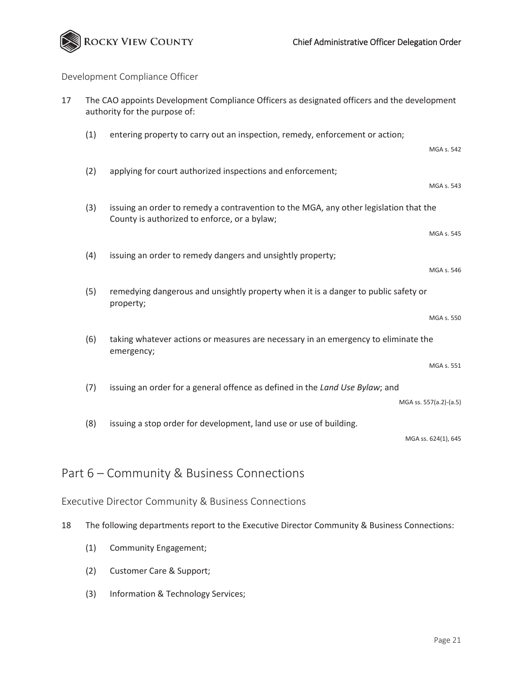

# Development Compliance Officer

| 17 | The CAO appoints Development Compliance Officers as designated officers and the development<br>authority for the purpose of: |                                                                                                                                       |
|----|------------------------------------------------------------------------------------------------------------------------------|---------------------------------------------------------------------------------------------------------------------------------------|
|    | (1)                                                                                                                          | entering property to carry out an inspection, remedy, enforcement or action;                                                          |
|    |                                                                                                                              | MGA s. 542                                                                                                                            |
|    | (2)                                                                                                                          | applying for court authorized inspections and enforcement;                                                                            |
|    |                                                                                                                              | MGA s. 543                                                                                                                            |
|    | (3)                                                                                                                          | issuing an order to remedy a contravention to the MGA, any other legislation that the<br>County is authorized to enforce, or a bylaw; |
|    |                                                                                                                              | MGA s. 545                                                                                                                            |
|    | (4)                                                                                                                          | issuing an order to remedy dangers and unsightly property;                                                                            |
|    |                                                                                                                              | MGA s. 546                                                                                                                            |
|    | (5)                                                                                                                          | remedying dangerous and unsightly property when it is a danger to public safety or<br>property;                                       |
|    |                                                                                                                              | MGA s. 550                                                                                                                            |
|    | (6)                                                                                                                          | taking whatever actions or measures are necessary in an emergency to eliminate the<br>emergency;                                      |
|    |                                                                                                                              | MGA s. 551                                                                                                                            |
|    | (7)                                                                                                                          | issuing an order for a general offence as defined in the Land Use Bylaw; and                                                          |
|    |                                                                                                                              | MGA ss. 557(a.2)-(a.5)                                                                                                                |
|    | (8)                                                                                                                          | issuing a stop order for development, land use or use of building.                                                                    |
|    |                                                                                                                              | MGA ss. 624(1), 645                                                                                                                   |
|    |                                                                                                                              | Part 6 – Community & Business Connections                                                                                             |

## Executive Director Community & Business Connections

- 18 The following departments report to the Executive Director Community & Business Connections:
	- (1) Community Engagement;
	- (2) Customer Care & Support;
	- (3) Information & Technology Services;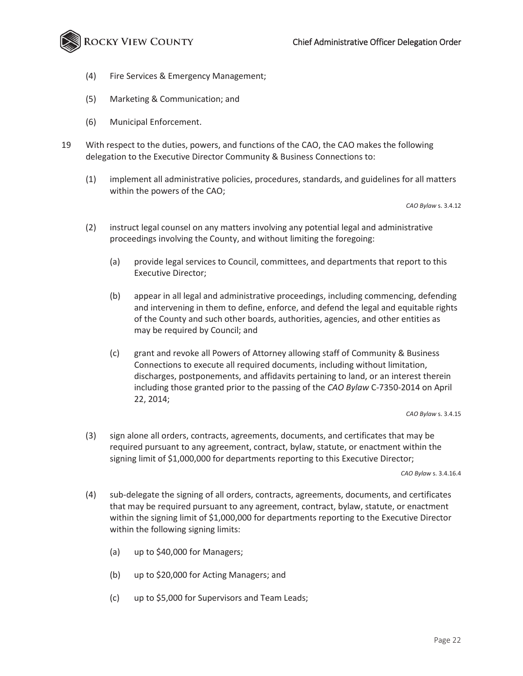

- (4) Fire Services & Emergency Management;
- (5) Marketing & Communication; and
- (6) Municipal Enforcement.
- 19 With respect to the duties, powers, and functions of the CAO, the CAO makes the following delegation to the Executive Director Community & Business Connections to:
	- (1) implement all administrative policies, procedures, standards, and guidelines for all matters within the powers of the CAO;

*CAO Bylaw* s. 3.4.12

- (2) instruct legal counsel on any matters involving any potential legal and administrative proceedings involving the County, and without limiting the foregoing:
	- (a) provide legal services to Council, committees, and departments that report to this Executive Director;
	- (b) appear in all legal and administrative proceedings, including commencing, defending and intervening in them to define, enforce, and defend the legal and equitable rights of the County and such other boards, authorities, agencies, and other entities as may be required by Council; and
	- (c) grant and revoke all Powers of Attorney allowing staff of Community & Business Connections to execute all required documents, including without limitation, discharges, postponements, and affidavits pertaining to land, or an interest therein including those granted prior to the passing of the *CAO Bylaw* C-7350-2014 on April 22, 2014;

*CAO Bylaw* s. 3.4.15

(3) sign alone all orders, contracts, agreements, documents, and certificates that may be required pursuant to any agreement, contract, bylaw, statute, or enactment within the signing limit of \$1,000,000 for departments reporting to this Executive Director;

- (4) sub-delegate the signing of all orders, contracts, agreements, documents, and certificates that may be required pursuant to any agreement, contract, bylaw, statute, or enactment within the signing limit of \$1,000,000 for departments reporting to the Executive Director within the following signing limits:
	- (a) up to \$40,000 for Managers;
	- (b) up to \$20,000 for Acting Managers; and
	- (c) up to \$5,000 for Supervisors and Team Leads;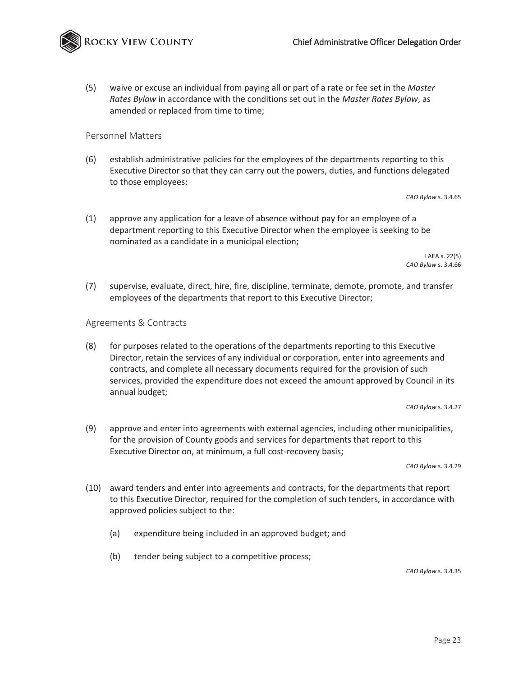

(5) waive or excuse an individual from paying all or part of a rate or fee set in the *Master Rates Bylaw* in accordance with the conditions set out in the *Master Rates Bylaw*, as amended or replaced from time to time;

#### Personnel Matters

(6) establish administrative policies for the employees of the departments reporting to this Executive Director so that they can carry out the powers, duties, and functions delegated to those employees;

*CAO Bylaw* s. 3.4.65

(1) approve any application for a leave of absence without pay for an employee of a department reporting to this Executive Director when the employee is seeking to be nominated as a candidate in a municipal election;

> LAEA s. 22(5) *CAO Bylaw* s. 3.4.66

(7) supervise, evaluate, direct, hire, fire, discipline, terminate, demote, promote, and transfer employees of the departments that report to this Executive Director;

#### Agreements & Contracts

(8) for purposes related to the operations of the departments reporting to this Executive Director, retain the services of any individual or corporation, enter into agreements and contracts, and complete all necessary documents required for the provision of such services, provided the expenditure does not exceed the amount approved by Council in its annual budget;

*CAO Bylaw* s. 3.4.27

(9) approve and enter into agreements with external agencies, including other municipalities, for the provision of County goods and services for departments that report to this Executive Director on, at minimum, a full cost-recovery basis;

*CAO Bylaw* s. 3.4.29

- (10) award tenders and enter into agreements and contracts, for the departments that report to this Executive Director, required for the completion of such tenders, in accordance with approved policies subject to the:
	- (a) expenditure being included in an approved budget; and
	- (b) tender being subject to a competitive process;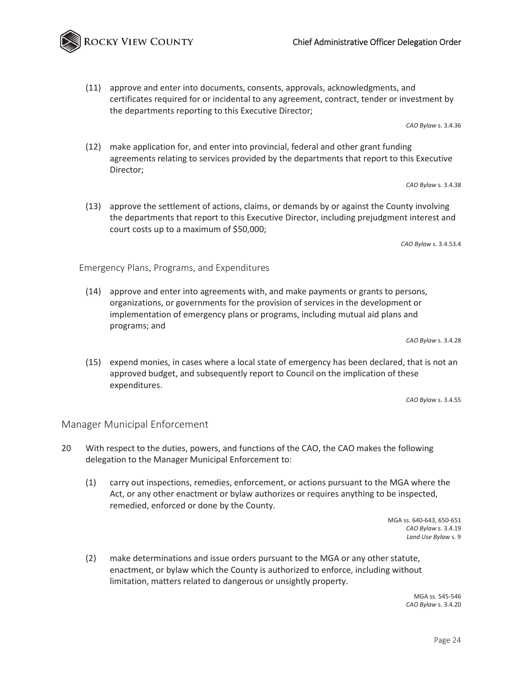## Chief Administrative Officer Delegation Order

(11) approve and enter into documents, consents, approvals, acknowledgments, and certificates required for or incidental to any agreement, contract, tender or investment by the departments reporting to this Executive Director;

*CAO Bylaw* s. 3.4.36

(12) make application for, and enter into provincial, federal and other grant funding agreements relating to services provided by the departments that report to this Executive Director;

*CAO Bylaw* s. 3.4.38

(13) approve the settlement of actions, claims, or demands by or against the County involving the departments that report to this Executive Director, including prejudgment interest and court costs up to a maximum of \$50,000;

*CAO Bylaw* s. 3.4.53.4

Emergency Plans, Programs, and Expenditures

(14) approve and enter into agreements with, and make payments or grants to persons, organizations, or governments for the provision of services in the development or implementation of emergency plans or programs, including mutual aid plans and programs; and

*CAO Bylaw* s. 3.4.28

(15) expend monies, in cases where a local state of emergency has been declared, that is not an approved budget, and subsequently report to Council on the implication of these expenditures.

*CAO Bylaw* s. 3.4.55

#### Manager Municipal Enforcement

- 20 With respect to the duties, powers, and functions of the CAO, the CAO makes the following delegation to the Manager Municipal Enforcement to:
	- (1) carry out inspections, remedies, enforcement, or actions pursuant to the MGA where the Act, or any other enactment or bylaw authorizes or requires anything to be inspected, remedied, enforced or done by the County.

MGA ss. 640-643, 650-651 *CAO Bylaw* s. 3.4.19 *Land Use Bylaw* s. 9

(2) make determinations and issue orders pursuant to the MGA or any other statute, enactment, or bylaw which the County is authorized to enforce, including without limitation, matters related to dangerous or unsightly property.

> MGA ss. 545-546 *CAO Bylaw* s. 3.4.20